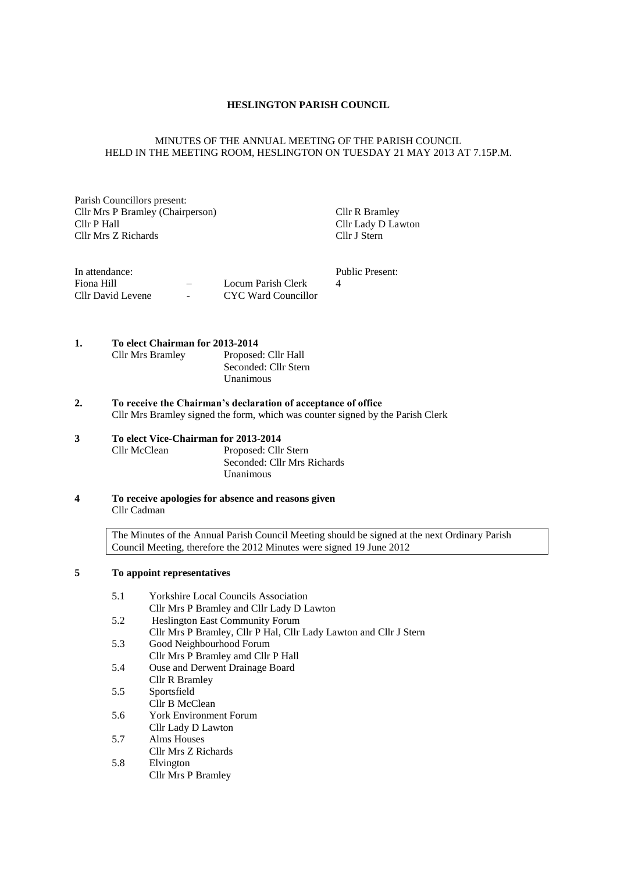## **HESLINGTON PARISH COUNCIL**

## MINUTES OF THE ANNUAL MEETING OF THE PARISH COUNCIL HELD IN THE MEETING ROOM, HESLINGTON ON TUESDAY 21 MAY 2013 AT 7.15P.M.

Parish Councillors present: Cllr Mrs P Bramley (Chairperson) Cllr R Bramley Cllr R Bramley<br>Cllr P Hall Cllr Lady D Lav Cllr Mrs Z Richards

Cllr Lady D Lawton<br>Cllr J Stern

| In attendance:    |               |                     | Public Present: |
|-------------------|---------------|---------------------|-----------------|
| Fiona Hill        |               | Locum Parish Clerk  |                 |
| Cllr David Levene | $\sim$ $\sim$ | CYC Ward Councillor |                 |

# **1. To elect Chairman for 2013-2014**

| <b>Cllr Mrs Bramley</b> | Proposed: Cllr Hall  |
|-------------------------|----------------------|
|                         | Seconded: Cllr Stern |
|                         | Unanimous            |

**2. To receive the Chairman's declaration of acceptance of office** Cllr Mrs Bramley signed the form, which was counter signed by the Parish Clerk

Unanimous

## **3 To elect Vice-Chairman for 2013-2014** Proposed: Cllr Stern Seconded: Cllr Mrs Richards

**4 To receive apologies for absence and reasons given** Cllr Cadman

> The Minutes of the Annual Parish Council Meeting should be signed at the next Ordinary Parish Council Meeting, therefore the 2012 Minutes were signed 19 June 2012

## **5 To appoint representatives**

| 5.1 | <b>Yorkshire Local Councils Association</b>                       |
|-----|-------------------------------------------------------------------|
|     | Cllr Mrs P Bramley and Cllr Lady D Lawton                         |
| 5.2 | <b>Heslington East Community Forum</b>                            |
|     | Cllr Mrs P Bramley, Cllr P Hal, Cllr Lady Lawton and Cllr J Stern |
| 5.3 | Good Neighbourhood Forum                                          |
|     | Cllr Mrs P Bramley amd Cllr P Hall                                |
| 5.4 | Ouse and Derwent Drainage Board                                   |
|     | Cllr R Bramley                                                    |
| 5.5 | Sportsfield                                                       |
|     | Cllr B McClean                                                    |
| 5.6 | <b>York Environment Forum</b>                                     |
|     | Cllr Lady D Lawton                                                |
| 5.7 | Alms Houses                                                       |
|     | Cllr Mrs Z Richards                                               |
| 5.8 | Elvington                                                         |
|     | Cllr Mrs P Bramley                                                |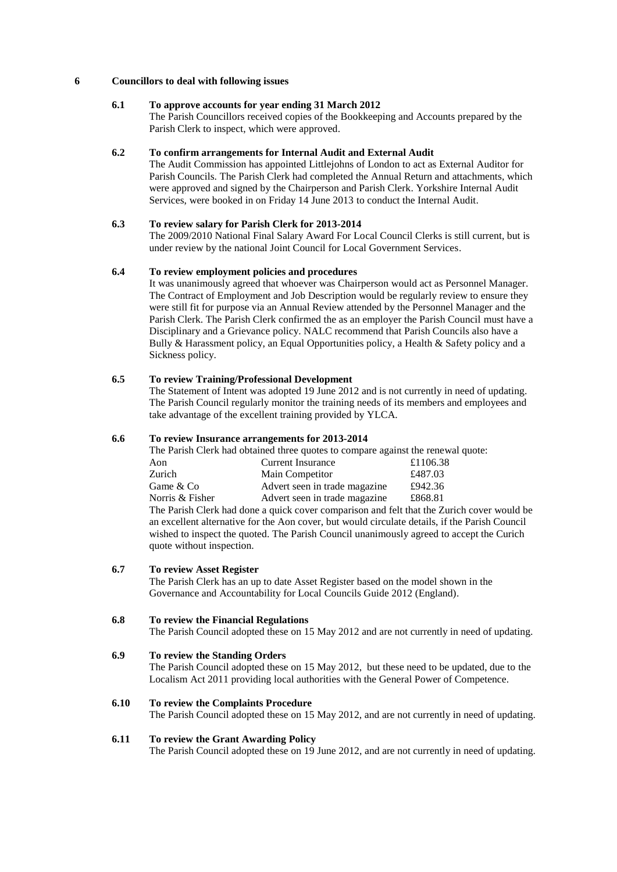## **6 Councillors to deal with following issues**

# **6.1 To approve accounts for year ending 31 March 2012**

The Parish Councillors received copies of the Bookkeeping and Accounts prepared by the Parish Clerk to inspect, which were approved.

## **6.2 To confirm arrangements for Internal Audit and External Audit**

The Audit Commission has appointed Littlejohns of London to act as External Auditor for Parish Councils. The Parish Clerk had completed the Annual Return and attachments, which were approved and signed by the Chairperson and Parish Clerk. Yorkshire Internal Audit Services, were booked in on Friday 14 June 2013 to conduct the Internal Audit.

## **6.3 To review salary for Parish Clerk for 2013-2014**

The 2009/2010 National Final Salary Award For Local Council Clerks is still current, but is under review by the national Joint Council for Local Government Services.

## **6.4 To review employment policies and procedures**

It was unanimously agreed that whoever was Chairperson would act as Personnel Manager. The Contract of Employment and Job Description would be regularly review to ensure they were still fit for purpose via an Annual Review attended by the Personnel Manager and the Parish Clerk. The Parish Clerk confirmed the as an employer the Parish Council must have a Disciplinary and a Grievance policy. NALC recommend that Parish Councils also have a Bully & Harassment policy, an Equal Opportunities policy, a Health & Safety policy and a Sickness policy.

# **6.5 To review Training/Professional Development**

The Statement of Intent was adopted 19 June 2012 and is not currently in need of updating. The Parish Council regularly monitor the training needs of its members and employees and take advantage of the excellent training provided by YLCA.

#### **6.6 To review Insurance arrangements for 2013-2014**

| The Parish Clerk had obtained three quotes to compare against the renewal quote:                                      |                               |          |  |  |
|-----------------------------------------------------------------------------------------------------------------------|-------------------------------|----------|--|--|
| Aon                                                                                                                   | <b>Current Insurance</b>      | £1106.38 |  |  |
| Zurich                                                                                                                | Main Competitor               | £487.03  |  |  |
| Game & Co                                                                                                             | Advert seen in trade magazine | £942.36  |  |  |
| Norris & Fisher                                                                                                       | Advert seen in trade magazine | £868.81  |  |  |
| The Parish Clerk had done a quick cover comparison and felt that the Zurich cover would be                            |                               |          |  |  |
| . The constitution of the contract of the constant of the constant of the constant $\alpha$ and $\alpha$ and $\alpha$ |                               |          |  |  |

an excellent alternative for the Aon cover, but would circulate details, if the Parish Council wished to inspect the quoted. The Parish Council unanimously agreed to accept the Curich quote without inspection.

#### **6.7 To review Asset Register**

The Parish Clerk has an up to date Asset Register based on the model shown in the Governance and Accountability for Local Councils Guide 2012 (England).

## **6.8 To review the Financial Regulations**

The Parish Council adopted these on 15 May 2012 and are not currently in need of updating.

### **6.9 To review the Standing Orders**

The Parish Council adopted these on 15 May 2012, but these need to be updated, due to the Localism Act 2011 providing local authorities with the General Power of Competence.

#### **6.10 To review the Complaints Procedure**

The Parish Council adopted these on 15 May 2012, and are not currently in need of updating.

#### **6.11 To review the Grant Awarding Policy**

The Parish Council adopted these on 19 June 2012, and are not currently in need of updating.